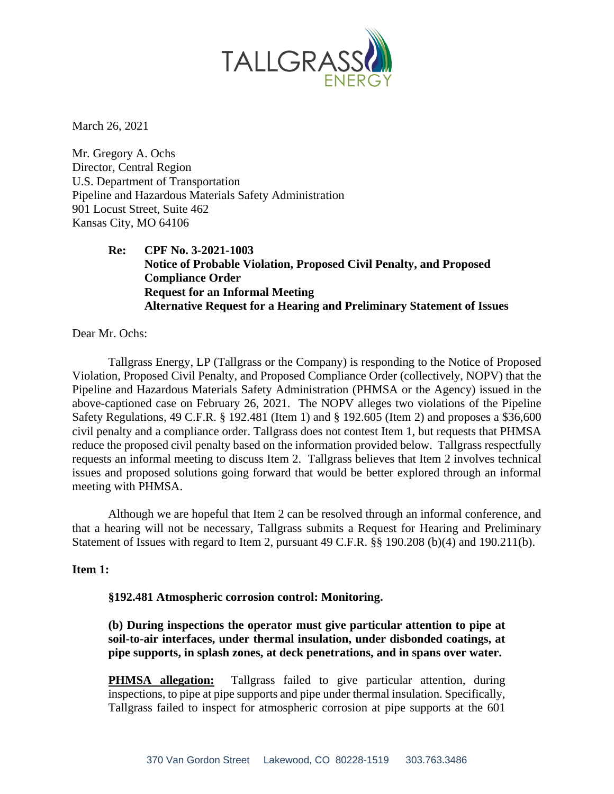

March 26, 2021

Mr. Gregory A. Ochs Director, Central Region U.S. Department of Transportation Pipeline and Hazardous Materials Safety Administration 901 Locust Street, Suite 462 Kansas City, MO 64106

> **Re: CPF No. 3-2021-1003 Notice of Probable Violation, Proposed Civil Penalty, and Proposed Compliance Order Request for an Informal Meeting Alternative Request for a Hearing and Preliminary Statement of Issues**

Dear Mr. Ochs:

Tallgrass Energy, LP (Tallgrass or the Company) is responding to the Notice of Proposed Violation, Proposed Civil Penalty, and Proposed Compliance Order (collectively, NOPV) that the Pipeline and Hazardous Materials Safety Administration (PHMSA or the Agency) issued in the above-captioned case on February 26, 2021. The NOPV alleges two violations of the Pipeline Safety Regulations, 49 C.F.R. § 192.481 (Item 1) and § 192.605 (Item 2) and proposes a \$36,600 civil penalty and a compliance order. Tallgrass does not contest Item 1, but requests that PHMSA reduce the proposed civil penalty based on the information provided below. Tallgrass respectfully requests an informal meeting to discuss Item 2. Tallgrass believes that Item 2 involves technical issues and proposed solutions going forward that would be better explored through an informal meeting with PHMSA.

Although we are hopeful that Item 2 can be resolved through an informal conference, and that a hearing will not be necessary, Tallgrass submits a Request for Hearing and Preliminary Statement of Issues with regard to Item 2, pursuant 49 C.F.R. §§ 190.208 (b)(4) and 190.211(b).

## **Item 1:**

## **§192.481 Atmospheric corrosion control: Monitoring.**

**(b) During inspections the operator must give particular attention to pipe at soil-to-air interfaces, under thermal insulation, under disbonded coatings, at pipe supports, in splash zones, at deck penetrations, and in spans over water.**

**PHMSA allegation:** Tallgrass failed to give particular attention, during inspections, to pipe at pipe supports and pipe under thermal insulation. Specifically, Tallgrass failed to inspect for atmospheric corrosion at pipe supports at the 601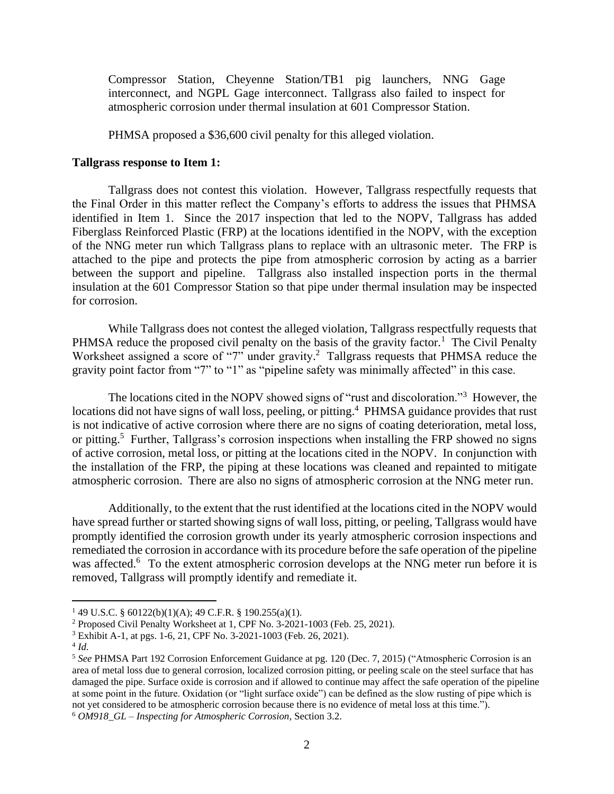Compressor Station, Cheyenne Station/TB1 pig launchers, NNG Gage interconnect, and NGPL Gage interconnect. Tallgrass also failed to inspect for atmospheric corrosion under thermal insulation at 601 Compressor Station.

PHMSA proposed a \$36,600 civil penalty for this alleged violation.

#### **Tallgrass response to Item 1:**

Tallgrass does not contest this violation. However, Tallgrass respectfully requests that the Final Order in this matter reflect the Company's efforts to address the issues that PHMSA identified in Item 1. Since the 2017 inspection that led to the NOPV, Tallgrass has added Fiberglass Reinforced Plastic (FRP) at the locations identified in the NOPV, with the exception of the NNG meter run which Tallgrass plans to replace with an ultrasonic meter. The FRP is attached to the pipe and protects the pipe from atmospheric corrosion by acting as a barrier between the support and pipeline. Tallgrass also installed inspection ports in the thermal insulation at the 601 Compressor Station so that pipe under thermal insulation may be inspected for corrosion.

While Tallgrass does not contest the alleged violation, Tallgrass respectfully requests that PHMSA reduce the proposed civil penalty on the basis of the gravity factor.<sup>1</sup> The Civil Penalty Worksheet assigned a score of "7" under gravity.<sup>2</sup> Tallgrass requests that PHMSA reduce the gravity point factor from "7" to "1" as "pipeline safety was minimally affected" in this case.

The locations cited in the NOPV showed signs of "rust and discoloration."<sup>3</sup> However, the locations did not have signs of wall loss, peeling, or pitting.<sup>4</sup> PHMSA guidance provides that rust is not indicative of active corrosion where there are no signs of coating deterioration, metal loss, or pitting.<sup>5</sup> Further, Tallgrass's corrosion inspections when installing the FRP showed no signs of active corrosion, metal loss, or pitting at the locations cited in the NOPV. In conjunction with the installation of the FRP, the piping at these locations was cleaned and repainted to mitigate atmospheric corrosion. There are also no signs of atmospheric corrosion at the NNG meter run.

Additionally, to the extent that the rust identified at the locations cited in the NOPV would have spread further or started showing signs of wall loss, pitting, or peeling, Tallgrass would have promptly identified the corrosion growth under its yearly atmospheric corrosion inspections and remediated the corrosion in accordance with its procedure before the safe operation of the pipeline was affected.<sup>6</sup> To the extent atmospheric corrosion develops at the NNG meter run before it is removed, Tallgrass will promptly identify and remediate it.

<sup>1</sup> 49 U.S.C. § 60122(b)(1)(A); 49 C.F.R. § 190.255(a)(1).

<sup>2</sup> Proposed Civil Penalty Worksheet at 1, CPF No. 3-2021-1003 (Feb. 25, 2021).

<sup>3</sup> Exhibit A-1, at pgs. 1-6, 21, CPF No. 3-2021-1003 (Feb. 26, 2021).

<sup>4</sup> *Id.*

<sup>5</sup> *See* PHMSA Part 192 Corrosion Enforcement Guidance at pg. 120 (Dec. 7, 2015) ("Atmospheric Corrosion is an area of metal loss due to general corrosion, localized corrosion pitting, or peeling scale on the steel surface that has damaged the pipe. Surface oxide is corrosion and if allowed to continue may affect the safe operation of the pipeline at some point in the future. Oxidation (or "light surface oxide") can be defined as the slow rusting of pipe which is not yet considered to be atmospheric corrosion because there is no evidence of metal loss at this time."). <sup>6</sup> *OM918\_GL – Inspecting for Atmospheric Corrosion*, Section 3.2.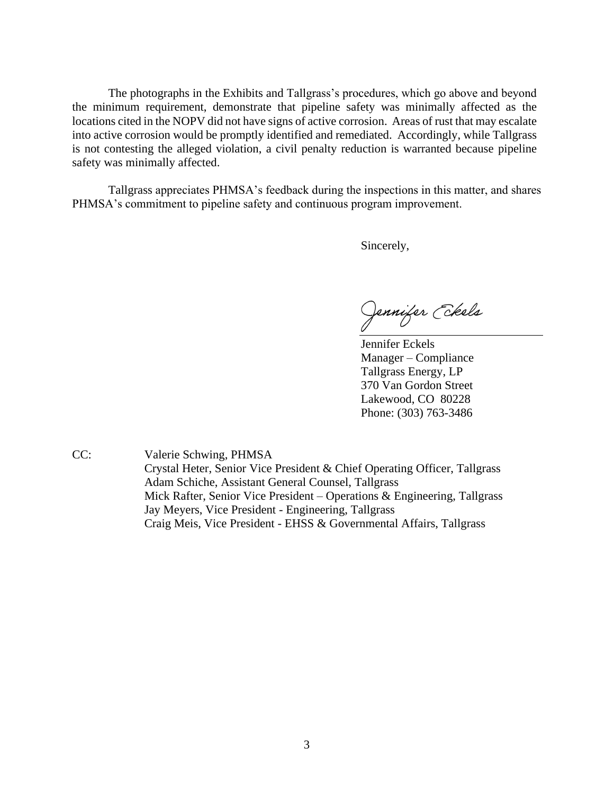The photographs in the Exhibits and Tallgrass's procedures, which go above and beyond the minimum requirement, demonstrate that pipeline safety was minimally affected as the locations cited in the NOPV did not have signs of active corrosion. Areas of rust that may escalate into active corrosion would be promptly identified and remediated. Accordingly, while Tallgrass is not contesting the alleged violation, a civil penalty reduction is warranted because pipeline safety was minimally affected.

Tallgrass appreciates PHMSA's feedback during the inspections in this matter, and shares PHMSA's commitment to pipeline safety and continuous program improvement.

Sincerely,

Jennifer *Ekels* 

Jennifer Eckels Manager – Compliance Tallgrass Energy, LP 370 Van Gordon Street Lakewood, CO 80228 Phone: (303) 763-3486

CC: Valerie Schwing, PHMSA Crystal Heter, Senior Vice President & Chief Operating Officer, Tallgrass Adam Schiche, Assistant General Counsel, Tallgrass Mick Rafter, Senior Vice President – Operations & Engineering, Tallgrass Jay Meyers, Vice President - Engineering, Tallgrass Craig Meis, Vice President - EHSS & Governmental Affairs, Tallgrass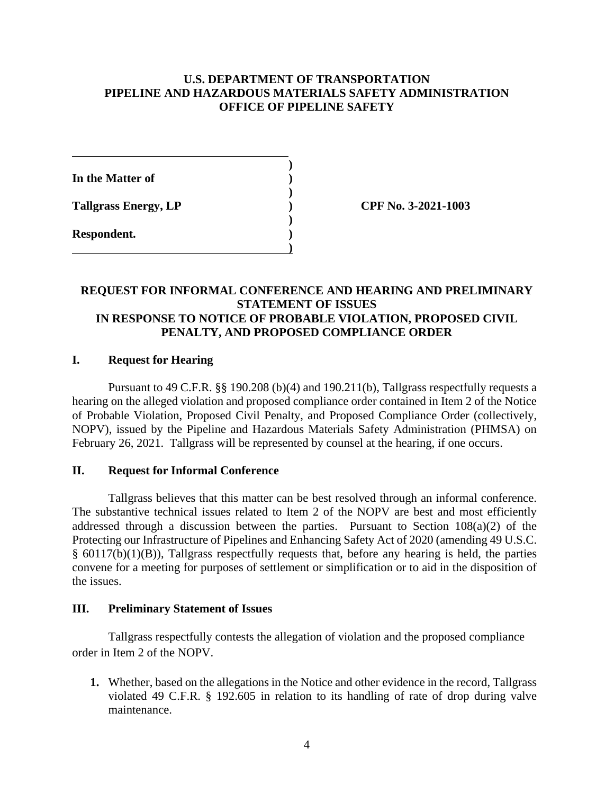# **U.S. DEPARTMENT OF TRANSPORTATION PIPELINE AND HAZARDOUS MATERIALS SAFETY ADMINISTRATION OFFICE OF PIPELINE SAFETY**

**)** 

**)** 

**)** 

**)**

**In the Matter of )** 

**Tallgrass Energy, LP ) CPF No. 3-2021-1003**

**Respondent. )** 

# **REQUEST FOR INFORMAL CONFERENCE AND HEARING AND PRELIMINARY STATEMENT OF ISSUES IN RESPONSE TO NOTICE OF PROBABLE VIOLATION, PROPOSED CIVIL PENALTY, AND PROPOSED COMPLIANCE ORDER**

# **I. Request for Hearing**

Pursuant to 49 C.F.R. §§ 190.208 (b)(4) and 190.211(b), Tallgrass respectfully requests a hearing on the alleged violation and proposed compliance order contained in Item 2 of the Notice of Probable Violation, Proposed Civil Penalty, and Proposed Compliance Order (collectively, NOPV), issued by the Pipeline and Hazardous Materials Safety Administration (PHMSA) on February 26, 2021. Tallgrass will be represented by counsel at the hearing, if one occurs.

## **II. Request for Informal Conference**

Tallgrass believes that this matter can be best resolved through an informal conference. The substantive technical issues related to Item 2 of the NOPV are best and most efficiently addressed through a discussion between the parties. Pursuant to Section 108(a)(2) of the Protecting our Infrastructure of Pipelines and Enhancing Safety Act of 2020 (amending 49 U.S.C. § 60117(b)(1)(B)), Tallgrass respectfully requests that, before any hearing is held, the parties convene for a meeting for purposes of settlement or simplification or to aid in the disposition of the issues.

## **III. Preliminary Statement of Issues**

Tallgrass respectfully contests the allegation of violation and the proposed compliance order in Item 2 of the NOPV.

**1.** Whether, based on the allegations in the Notice and other evidence in the record, Tallgrass violated 49 C.F.R. § 192.605 in relation to its handling of rate of drop during valve maintenance.